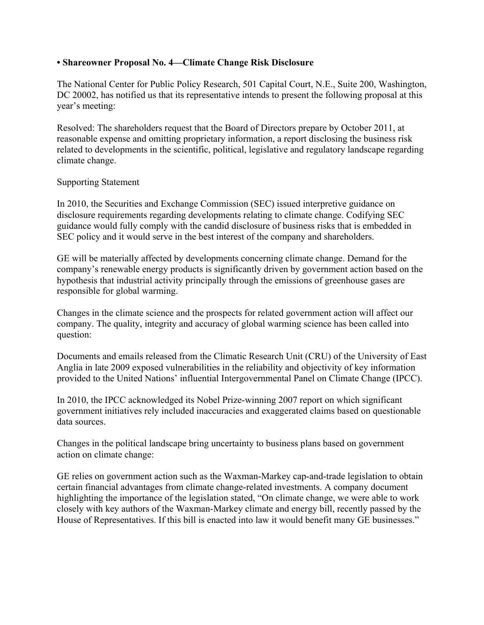## **• Shareowner Proposal No. 4—Climate Change Risk Disclosure**

The National Center for Public Policy Research, 501 Capital Court, N.E., Suite 200, Washington, DC 20002, has notified us that its representative intends to present the following proposal at this year's meeting:

Resolved: The shareholders request that the Board of Directors prepare by October 2011, at reasonable expense and omitting proprietary information, a report disclosing the business risk related to developments in the scientific, political, legislative and regulatory landscape regarding climate change.

## Supporting Statement

In 2010, the Securities and Exchange Commission (SEC) issued interpretive guidance on disclosure requirements regarding developments relating to climate change. Codifying SEC guidance would fully comply with the candid disclosure of business risks that is embedded in SEC policy and it would serve in the best interest of the company and shareholders.

GE will be materially affected by developments concerning climate change. Demand for the company's renewable energy products is significantly driven by government action based on the hypothesis that industrial activity principally through the emissions of greenhouse gases are responsible for global warming.

Changes in the climate science and the prospects for related government action will affect our company. The quality, integrity and accuracy of global warming science has been called into question:

Documents and emails released from the Climatic Research Unit (CRU) of the University of East Anglia in late 2009 exposed vulnerabilities in the reliability and objectivity of key information provided to the United Nations' influential Intergovernmental Panel on Climate Change (IPCC).

In 2010, the IPCC acknowledged its Nobel Prize-winning 2007 report on which significant government initiatives rely included inaccuracies and exaggerated claims based on questionable data sources.

Changes in the political landscape bring uncertainty to business plans based on government action on climate change:

GE relies on government action such as the Waxman-Markey cap-and-trade legislation to obtain certain financial advantages from climate change-related investments. A company document highlighting the importance of the legislation stated, "On climate change, we were able to work closely with key authors of the Waxman-Markey climate and energy bill, recently passed by the House of Representatives. If this bill is enacted into law it would benefit many GE businesses."